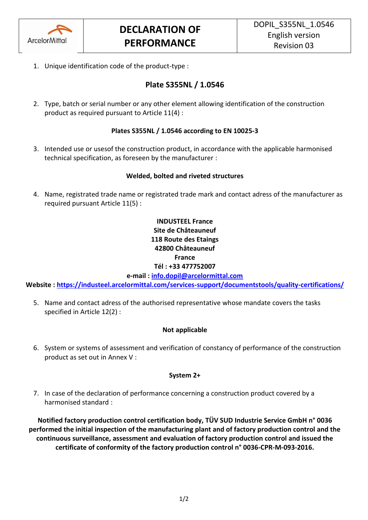

1. Unique identification code of the product-type :

# **Plate S355NL / 1.0546**

2. Type, batch or serial number or any other element allowing identification of the construction product as required pursuant to Article 11(4) :

## **Plates S355NL / 1.0546 according to EN 10025-3**

3. Intended use or usesof the construction product, in accordance with the applicable harmonised technical specification, as foreseen by the manufacturer :

### **Welded, bolted and riveted structures**

4. Name, registrated trade name or registrated trade mark and contact adress of the manufacturer as required pursuant Article 11(5) :

## **INDUSTEEL France Site de Châteauneuf 118 Route des Etaings 42800 Châteauneuf France Tél : +33 477752007**

**e-mail : [info.dopil@arcelormittal.com](mailto:info.dopil@arcelormittal.com)**

**Website :<https://industeel.arcelormittal.com/services-support/documentstools/quality-certifications/>**

5. Name and contact adress of the authorised representative whose mandate covers the tasks specified in Article 12(2) :

## **Not applicable**

6. System or systems of assessment and verification of constancy of performance of the construction product as set out in Annex V :

#### **System 2+**

7. In case of the declaration of performance concerning a construction product covered by a harmonised standard :

**Notified factory production control certification body, TÜV SUD Industrie Service GmbH n° 0036 performed the initial inspection of the manufacturing plant and of factory production control and the continuous surveillance, assessment and evaluation of factory production control and issued the certificate of conformity of the factory production control n° 0036-CPR-M-093-2016.**